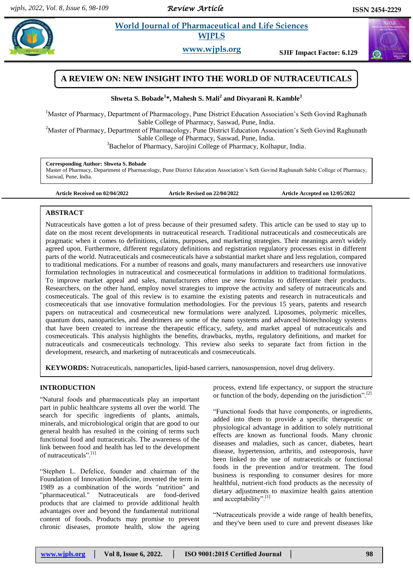*Review Article* 

 $\alpha$ 

# **Example 3** *E**World Journal of Pharmaceutical and Life Sciences* **<b>***Research* **WJPLS**

**www.wjpls.org SJIF Impact Factor: 6.129**



# **Shweta S. Bobade<sup>1</sup> \*, Mahesh S. Mali<sup>2</sup> and Divyarani R. Kamble<sup>3</sup>**

<sup>1</sup>Master of Pharmacy, Department of Pharmacology, Pune District Education Association's Seth Govind Raghunath Sable College of Pharmacy, Saswad, Pune, India.

<sup>2</sup>Master of Pharmacy, Department of Pharmacology, Pune District Education Association's Seth Govind Raghunath Sable College of Pharmacy, Saswad, Pune, India.

<sup>3</sup>Bachelor of Pharmacy, Sarojini College of Pharmacy, Kolhapur, India.

# **Corresponding Author: Shweta S. Bobade**

Master of Pharmacy, Department of Pharmacology, Pune District Education Association's Seth Govind Raghunath Sable College of Pharmacy, Saswad, Pune, India.

**Article Received on 02/04/2022 Article Revised on 22/04/2022 Article Accepted on 12/05/2022**

# **ABSTRACT**

Nutraceuticals have gotten a lot of press because of their presumed safety. This article can be used to stay up to date on the most recent developments in nutraceutical research. Traditional nutraceuticals and cosmeceuticals are pragmatic when it comes to definitions, claims, purposes, and marketing strategies. Their meanings aren't widely agreed upon. Furthermore, different regulatory definitions and registration regulatory processes exist in different parts of the world. Nutraceuticals and cosmeceuticals have a substantial market share and less regulation, compared to traditional medications. For a number of reasons and goals, many manufacturers and researchers use innovative formulation technologies in nutraceutical and cosmeceutical formulations in addition to traditional formulations. To improve market appeal and sales, manufacturers often use new formulas to differentiate their products. Researchers, on the other hand, employ novel strategies to improve the activity and safety of nutraceuticals and cosmeceuticals. The goal of this review is to examine the existing patents and research in nutraceuticals and cosmeceuticals that use innovative formulation methodologies. For the previous 15 years, patents and research papers on nutraceutical and cosmeceutical new formulations were analyzed. Liposomes, polymeric micelles, quantum dots, nanoparticles, and dendrimers are some of the nano systems and advanced biotechnology systems that have been created to increase the therapeutic efficacy, safety, and market appeal of nutraceuticals and cosmeceuticals. This analysis highlights the benefits, drawbacks, myths, regulatory definitions, and market for nutraceuticals and cosmeceuticals technology. This review also seeks to separate fact from fiction in the development, research, and marketing of nutraceuticals and cosmeceuticals.

**KEYWORDS:** Nutraceuticals, nanoparticles, lipid-based carriers, nanosuspension, novel drug delivery.

# **INTRODUCTION**

"Natural foods and pharmaceuticals play an important part in public healthcare systems all over the world. The search for specific ingredients of plants, animals, minerals, and microbiological origin that are good to our general health has resulted in the coining of terms such functional food and nutraceuticals. The awareness of the link between food and health has led to the development of nutraceuticals".<sup>[1]</sup>

"Stephen L. Defelice, founder and chairman of the Foundation of Innovation Medicine, invented the term in 1989 as a combination of the words "nutrition" and "pharmaceutical." Nutraceuticals are food-derived products that are claimed to provide additional health advantages over and beyond the fundamental nutritional content of foods. Products may promise to prevent chronic diseases, promote health, slow the ageing

process, extend life expectancy, or support the structure or function of the body, depending on the jurisdiction".[2]

"Functional foods that have components, or ingredients, added into them to provide a specific therapeutic or physiological advantage in addition to solely nutritional effects are known as functional foods. Many chronic diseases and maladies, such as cancer, diabetes, heart disease, hypertension, arthritis, and osteoporosis, have been linked to the use of nutraceuticals or functional foods in the prevention and/or treatment. The food business is responding to consumer desires for more healthful, nutrient-rich food products as the necessity of dietary adjustments to maximize health gains attention and acceptability".<sup>[1]</sup>

"Nutraceuticals provide a wide range of health benefits, and they've been used to cure and prevent diseases like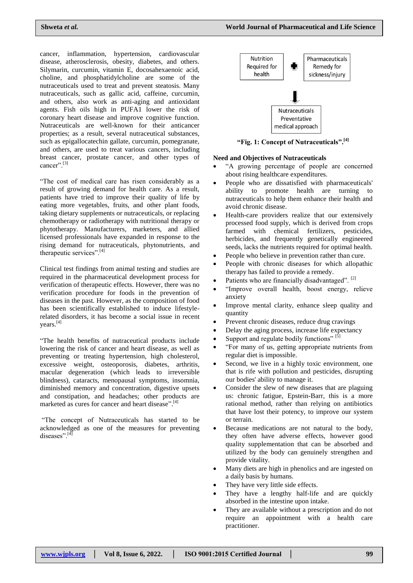cancer, inflammation, hypertension, cardiovascular disease, atherosclerosis, obesity, diabetes, and others. Silymarin, curcumin, vitamin E, docosahexaenoic acid, choline, and phosphatidylcholine are some of the nutraceuticals used to treat and prevent steatosis. Many nutraceuticals, such as gallic acid, caffeine, curcumin, and others, also work as anti-aging and antioxidant agents. Fish oils high in PUFA1 lower the risk of coronary heart disease and improve cognitive function. Nutraceuticals are well-known for their anticancer properties; as a result, several nutraceutical substances, such as epigallocatechin gallate, curcumin, pomegranate, and others, are used to treat various cancers, including breast cancer, prostate cancer, and other types of cancer".<sup>[3]</sup>

"The cost of medical care has risen considerably as a result of growing demand for health care. As a result, patients have tried to improve their quality of life by eating more vegetables, fruits, and other plant foods, taking dietary supplements or nutraceuticals, or replacing chemotherapy or radiotherapy with nutritional therapy or phytotherapy. Manufacturers, marketers, and allied licensed professionals have expanded in response to the rising demand for nutraceuticals, phytonutrients, and therapeutic services".<sup>[4]</sup>

Clinical test findings from animal testing and studies are required in the pharmaceutical development process for verification of therapeutic effects. However, there was no verification procedure for foods in the prevention of diseases in the past. However, as the composition of food has been scientifically established to induce lifestylerelated disorders, it has become a social issue in recent vears. $^{[4]}$ 

"The health benefits of nutraceutical products include lowering the risk of cancer and heart disease, as well as preventing or treating hypertension, high cholesterol, excessive weight, osteoporosis, diabetes, arthritis, macular degeneration (which leads to irreversible blindness), cataracts, menopausal symptoms, insomnia, diminished memory and concentration, digestive upsets and constipation, and headaches; other products are marketed as cures for cancer and heart disease".<sup>[4]</sup>

"The concept of Nutraceuticals has started to be acknowledged as one of the measures for preventing diseases".[4]



**"Fig. 1: Concept of Nutraceuticals".[4]**

#### **Need and Objectives of Nutraceuticals**

- "A growing percentage of people are concerned about rising healthcare expenditures.
- People who are dissatisfied with pharmaceuticals' ability to promote health are turning to nutraceuticals to help them enhance their health and avoid chronic disease.
- Health-care providers realize that our extensively processed food supply, which is derived from crops farmed with chemical fertilizers, pesticides, herbicides, and frequently genetically engineered seeds, lacks the nutrients required for optimal health.
- People who believe in prevention rather than cure.
- People with chronic diseases for which allopathic therapy has failed to provide a remedy.
- Patients who are financially disadvantaged". [2]
- "Improve overall health, boost energy, relieve anxiety
- Improve mental clarity, enhance sleep quality and quantity
- Prevent chronic diseases, reduce drug cravings
- Delay the aging process, increase life expectancy
- Support and regulate bodily functions"<sup>[5]</sup>
- "For many of us, getting appropriate nutrients from regular diet is impossible.
- Second, we live in a highly toxic environment, one that is rife with pollution and pesticides, disrupting our bodies' ability to manage it.
- Consider the slew of new diseases that are plaguing us: chronic fatigue, Epstein-Barr, this is a more rational method, rather than relying on antibiotics that have lost their potency, to improve our system or terrain.
- Because medications are not natural to the body, they often have adverse effects, however good quality supplementation that can be absorbed and utilized by the body can genuinely strengthen and provide vitality.
- Many diets are high in phenolics and are ingested on a daily basis by humans.
- They have very little side effects.
- They have a lengthy half-life and are quickly absorbed in the intestine upon intake.
- They are available without a prescription and do not require an appointment with a health care practitioner.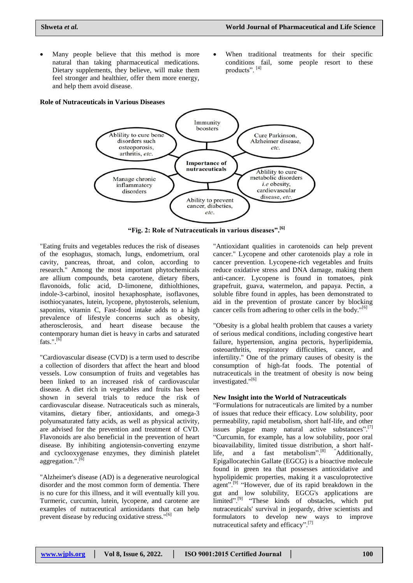- Many people believe that this method is more natural than taking pharmaceutical medications. Dietary supplements, they believe, will make them feel stronger and healthier, offer them more energy, and help them avoid disease.
- When traditional treatments for their specific conditions fail, some people resort to these products". [4]

### **Role of Nutraceuticals in Various Diseases**



**"Fig. 2: Role of Nutraceuticals in various diseases".[6]**

"Eating fruits and vegetables reduces the risk of diseases of the esophagus, stomach, lungs, endometrium, oral cavity, pancreas, throat, and colon, according to research." Among the most important phytochemicals are allium compounds, beta carotene, dietary fibers, flavonoids, folic acid, D-limonene, dithiolthiones, indole-3-carbinol, inositol hexaphosphate, isoflavones, isothiocyanates, lutein, lycopene, phytosterols, selenium, saponins, vitamin C, Fast-food intake adds to a high prevalence of lifestyle concerns such as obesity, atherosclerosis, and heart disease because the contemporary human diet is heavy in carbs and saturated fats.". $[6]$ 

"Cardiovascular disease (CVD) is a term used to describe a collection of disorders that affect the heart and blood vessels. Low consumption of fruits and vegetables has been linked to an increased risk of cardiovascular disease. A diet rich in vegetables and fruits has been shown in several trials to reduce the risk of cardiovascular disease. Nutraceuticals such as minerals, vitamins, dietary fiber, antioxidants, and omega-3 polyunsaturated fatty acids, as well as physical activity, are advised for the prevention and treatment of CVD. Flavonoids are also beneficial in the prevention of heart disease. By inhibiting angiotensin-converting enzyme and cyclooxygenase enzymes, they diminish platelet aggregation.".<sup>[6]</sup>

"Alzheimer's disease (AD) is a degenerative neurological disorder and the most common form of dementia. There is no cure for this illness, and it will eventually kill you. Turmeric, curcumin, lutein, lycopene, and carotene are examples of nutraceutical antioxidants that can help prevent disease by reducing oxidative stress."<sup>[6]</sup>

"Antioxidant qualities in carotenoids can help prevent cancer." Lycopene and other carotenoids play a role in cancer prevention. Lycopene-rich vegetables and fruits reduce oxidative stress and DNA damage, making them anti-cancer. Lycopene is found in tomatoes, pink grapefruit, guava, watermelon, and papaya. Pectin, a soluble fibre found in apples, has been demonstrated to aid in the prevention of prostate cancer by blocking cancer cells from adhering to other cells in the body."<sup>[6]</sup>

"Obesity is a global health problem that causes a variety of serious medical conditions, including congestive heart failure, hypertension, angina pectoris, hyperlipidemia, osteoarthritis, respiratory difficulties, cancer, and infertility." One of the primary causes of obesity is the consumption of high-fat foods. The potential of nutraceuticals in the treatment of obesity is now being investigated."<sup>[6]</sup>

### **New Insight into the World of Nutraceuticals**

"Formulations for nutraceuticals are limited by a number of issues that reduce their efficacy. Low solubility, poor permeability, rapid metabolism, short half-life, and other issues plague many natural active substances".<sup>[7]</sup> "Curcumin, for example, has a low solubility, poor oral bioavailability, limited tissue distribution, a short halflife, and a fast metabolism".<sup>[8]</sup> "Additionally, Epigallocatechin Gallate (EGCG) is a bioactive molecule found in green tea that possesses antioxidative and hypolipidemic properties, making it a vasculoprotective agent".<sup>[9]</sup> "However, due of its rapid breakdown in the gut and low solubility, EGCG's applications are limited".<sup>[9]</sup> "These kinds of obstacles, which put nutraceuticals' survival in jeopardy, drive scientists and formulators to develop new ways to improve nutraceutical safety and efficacy".[7]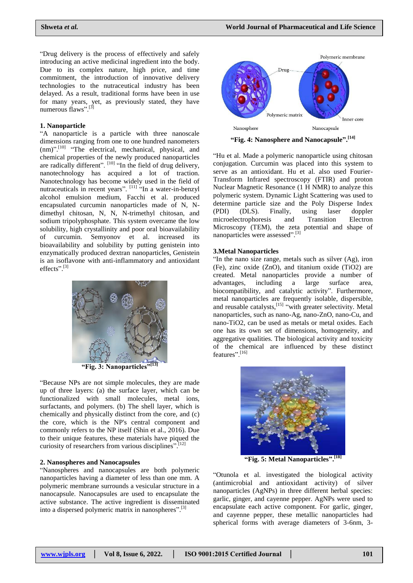"Drug delivery is the process of effectively and safely introducing an active medicinal ingredient into the body. Due to its complex nature, high price, and time commitment, the introduction of innovative delivery technologies to the nutraceutical industry has been delayed. As a result, traditional forms have been in use for many years, yet, as previously stated, they have numerous flows"  $[3]$ numerous flaws".

### **1. Nanoparticle**

"A nanoparticle is a particle with three nanoscale dimensions ranging from one to one hundred nanometers (nm)".<sup>[10]</sup> "The electrical, mechanical, physical, and chemical properties of the newly produced nanoparticles are radically different". [10] "In the field of drug delivery, nanotechnology has acquired a lot of traction. Nanotechnology has become widely used in the field of nutraceuticals in recent years".  $\left[11\right]$  "In a water-in-benzyl alcohol emulsion medium, Facchi et al. produced encapsulated curcumin nanoparticles made of N, Ndimethyl chitosan, N, N, N-trimethyl chitosan, and sodium tripolyphosphate. This system overcame the low solubility, high crystallinity and poor oral bioavailability of curcumin. Semyonov et al. increased its bioavailability and solubility by putting genistein into enzymatically produced dextran nanoparticles, Genistein is an isoflavone with anti-inflammatory and antioxidant effects". [3]



**"Fig. 3: Nanoparticles" [13]**

"Because NPs are not simple molecules, they are made up of three layers: (a) the surface layer, which can be functionalized with small molecules, metal ions, surfactants, and polymers. (b) The shell layer, which is chemically and physically distinct from the core, and (c) the core, which is the NP's central component and commonly refers to the NP itself (Shin et al., 2016). Due to their unique features, these materials have piqued the curiosity of researchers from various disciplines".<sup>[12]</sup>

# **2. Nanospheres and Nanocapsules**

"Nanospheres and nanocapsules are both polymeric nanoparticles having a diameter of less than one mm. A polymeric membrane surrounds a vesicular structure in a nanocapsule. Nanocapsules are used to encapsulate the active substance. The active ingredient is disseminated into a dispersed polymeric matrix in nanospheres".<sup>[3]</sup>



**"Fig. 4: Nanosphere and Nanocapsule".[14]**

"Hu et al. Made a polymeric nanoparticle using chitosan conjugation. Curcumin was placed into this system to serve as an antioxidant. Hu et al. also used Fourier-Transform Infrared spectroscopy (FTIR) and proton Nuclear Magnetic Resonance (1 H NMR) to analyze this polymeric system. Dynamic Light Scattering was used to determine particle size and the Poly Disperse Index (PDI) (DLS). Finally, using laser doppler microelectrophoresis and Transition Electron Microscopy (TEM), the zeta potential and shape of nanoparticles were assessed". [3]

### **3.Metal Nanoparticles**

"In the nano size range, metals such as silver (Ag), iron (Fe), zinc oxide (ZnO), and titanium oxide (TiO2) are created. Metal nanoparticles provide a number of advantages, including a large surface area, biocompatibility, and catalytic activity". Furthermore, metal nanoparticles are frequently isolable, dispersible, and reusable catalysts, [15] "with greater selectivity. Metal nanoparticles, such as nano-Ag, nano-ZnO, nano-Cu, and nano-TiO2, can be used as metals or metal oxides. Each one has its own set of dimensions, homogeneity, and aggregative qualities. The biological activity and toxicity of the chemical are influenced by these distinct features".<sup>[16]</sup>



**"Fig. 5: Metal Nanoparticles". [18]**

"Otunola et al. investigated the biological activity (antimicrobial and antioxidant activity) of silver nanoparticles (AgNPs) in three different herbal species: garlic, ginger, and cayenne pepper. AgNPs were used to encapsulate each active component. For garlic, ginger, and cayenne pepper, these metallic nanoparticles had spherical forms with average diameters of 3-6nm, 3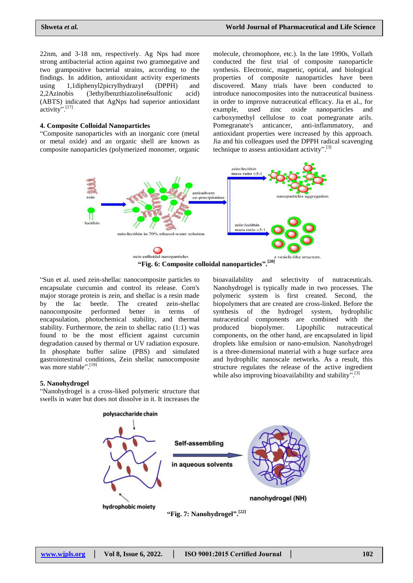22nm, and 3-18 nm, respectively. Ag Nps had more strong antibacterial action against two gramnegative and two grampositive bacterial strains, according to the findings. In addition, antioxidant activity experiments using 1,1diphenyl2picrylhydrazyl (DPPH) and 2,2Azinobis (3ethylbenzthiazoline6sulfonic acid) (ABTS) indicated that AgNps had superior antioxidant activity".[17]

#### **4. Composite Colloidal Nanoparticles**

"Composite nanoparticles with an inorganic core (metal or metal oxide) and an organic shell are known as composite nanoparticles (polymerized monomer, organic molecule, chromophore, etc.). In the late 1990s, Vollath conducted the first trial of composite nanoparticle synthesis. Electronic, magnetic, optical, and biological properties of composite nanoparticles have been discovered. Many trials have been conducted to introduce nanocomposites into the nutraceutical business in order to improve nutraceutical efficacy. Jia et al., for example, used zinc oxide nanoparticles and carboxymethyl cellulose to coat pomegranate arils. Pomegranate's anticancer, anti-inflammatory, and antioxidant properties were increased by this approach. Jia and his colleagues used the DPPH radical scavenging technique to assess antioxidant activity". [3]



"Sun et al. used zein-shellac nanocomposite particles to encapsulate curcumin and control its release. Corn's major storage protein is zein, and shellac is a resin made by the lac beetle. The created zein-shellac nanocomposite performed better in terms of encapsulation, photochemical stability, and thermal stability. Furthermore, the zein to shellac ratio (1:1) was found to be the most efficient against curcumin degradation caused by thermal or UV radiation exposure. In phosphate buffer saline (PBS) and simulated gastrointestinal conditions, Zein shellac nanocomposite was more stable".<sup>[19]</sup>

bioavailability and selectivity of nutraceuticals. Nanohydrogel is typically made in two processes. The polymeric system is first created. Second, the biopolymers that are created are cross-linked. Before the synthesis of the hydrogel system, hydrophilic nutraceutical components are combined with the produced biopolymer. Lipophilic nutraceutical components, on the other hand, are encapsulated in lipid droplets like emulsion or nano-emulsion. Nanohydrogel is a three-dimensional material with a huge surface area and hydrophilic nanoscale networks. As a result, this structure regulates the release of the active ingredient while also improving bioavailability and stability".<sup>[3]</sup>

#### **5. Nanohydrogel**

"Nanohydrogel is a cross-liked polymeric structure that swells in water but does not dissolve in it. It increases the

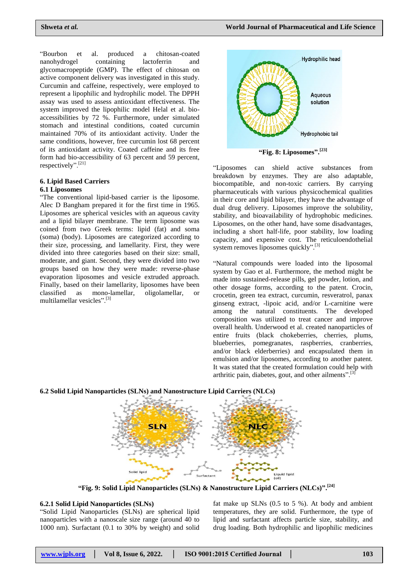"Bourbon et al. produced a chitosan-coated nanohydrogel containing lactoferrin and glycomacropeptide (GMP). The effect of chitosan on active component delivery was investigated in this study. Curcumin and caffeine, respectively, were employed to represent a lipophilic and hydrophilic model. The DPPH assay was used to assess antioxidant effectiveness. The system improved the lipophilic model Helal et al. bioaccessibilities by 72 %. Furthermore, under simulated stomach and intestinal conditions, coated curcumin maintained 70% of its antioxidant activity. Under the same conditions, however, free curcumin lost 68 percent of its antioxidant activity. Coated caffeine and its free form had bio-accessibility of 63 percent and 59 percent, respectively".[21]

#### **6. Lipid Based Carriers 6.1 Liposomes**

"The conventional lipid-based carrier is the liposome. Alec D Bangham prepared it for the first time in 1965. Liposomes are spherical vesicles with an aqueous cavity and a lipid bilayer membrane. The term liposome was coined from two Greek terms: lipid (fat) and soma (soma) (body). Liposomes are categorized according to their size, processing, and lamellarity. First, they were divided into three categories based on their size: small, moderate, and giant. Second, they were divided into two groups based on how they were made: reverse-phase evaporation liposomes and vesicle extruded approach. Finally, based on their lamellarity, liposomes have been classified as mono-lamellar, oligolamellar, or multilamellar vesicles". [3]



**"Fig. 8: Liposomes".[23]**

"Liposomes can shield active substances from breakdown by enzymes. They are also adaptable, biocompatible, and non-toxic carriers. By carrying pharmaceuticals with various physicochemical qualities in their core and lipid bilayer, they have the advantage of dual drug delivery. Liposomes improve the solubility, stability, and bioavailability of hydrophobic medicines. Liposomes, on the other hand, have some disadvantages, including a short half-life, poor stability, low loading capacity, and expensive cost. The reticuloendothelial system removes liposomes quickly".<sup>[3]</sup>

"Natural compounds were loaded into the liposomal system by Gao et al. Furthermore, the method might be made into sustained-release pills, gel powder, lotion, and other dosage forms, according to the patent. Crocin, crocetin, green tea extract, curcumin, resveratrol, panax ginseng extract, -lipoic acid, and/or L-carnitine were among the natural constituents. The developed composition was utilized to treat cancer and improve overall health. Underwood et al. created nanoparticles of entire fruits (black chokeberries, cherries, plums, blueberries, pomegranates, raspberries, cranberries, and/or black elderberries) and encapsulated them in emulsion and/or liposomes, according to another patent. It was stated that the created formulation could help with arthritic pain, diabetes, gout, and other ailments".<sup>[3]</sup>





**"Fig. 9: Solid Lipid Nanoparticles (SLNs) & Nanostructure Lipid Carriers (NLCs)". [24]**

# **6.2.1 Solid Lipid Nanoparticles (SLNs)**

"Solid Lipid Nanoparticles (SLNs) are spherical lipid nanoparticles with a nanoscale size range (around 40 to 1000 nm). Surfactant (0.1 to 30% by weight) and solid fat make up SLNs (0.5 to 5 %). At body and ambient temperatures, they are solid. Furthermore, the type of lipid and surfactant affects particle size, stability, and drug loading. Both hydrophilic and lipophilic medicines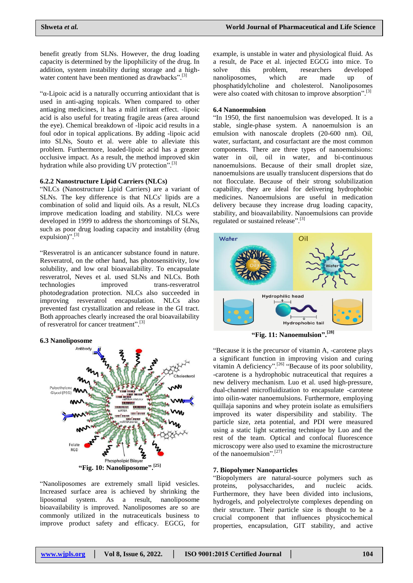benefit greatly from SLNs. However, the drug loading capacity is determined by the lipophilicity of the drug. In addition, system instability during storage and a highwater content have been mentioned as drawbacks".<sup>[3]</sup>

"α-Lipoic acid is a naturally occurring antioxidant that is used in anti-aging topicals. When compared to other antiaging medicines, it has a mild irritant effect. -lipoic acid is also useful for treating fragile areas (area around the eye). Chemical breakdown of -lipoic acid results in a foul odor in topical applications. By adding -lipoic acid into SLNs, Souto et al. were able to alleviate this problem. Furthermore, loaded-lipoic acid has a greater occlusive impact. As a result, the method improved skin hydration while also providing UV protection".<sup>[3]</sup>

# **6.2.2 Nanostructure Lipid Carriers (NLCs)**

"NLCs (Nanostructure Lipid Carriers) are a variant of SLNs. The key difference is that NLCs' lipids are a combination of solid and liquid oils. As a result, NLCs improve medication loading and stability. NLCs were developed in 1999 to address the shortcomings of SLNs, such as poor drug loading capacity and instability (drug expulsion)".<sup>[3]</sup>

"Resveratrol is an anticancer substance found in nature. Resveratrol, on the other hand, has photosensitivity, low solubility, and low oral bioavailability. To encapsulate resveratrol, Neves et al. used SLNs and NLCs. Both technologies improved trans-resveratrol photodegradation protection. NLCs also succeeded in improving resveratrol encapsulation. NLCs also prevented fast crystallization and release in the GI tract. Both approaches clearly increased the oral bioavailability of resveratrol for cancer treatment".<sup>[3]</sup>

### **6.3 Nanoliposome**



**"Fig. 10: Nanoliposome". [25]**

"Nanoliposomes are extremely small lipid vesicles. Increased surface area is achieved by shrinking the liposomal system. As a result, nanoliposome bioavailability is improved. Nanoliposomes are so are commonly utilized in the nutraceuticals business to improve product safety and efficacy. EGCG, for

example, is unstable in water and physiological fluid. As a result, de Pace et al. injected EGCG into mice. To solve this problem, researchers developed nanoliposomes, which are made up of phosphatidylcholine and cholesterol. Nanoliposomes were also coated with chitosan to improve absorption".<sup>[3]</sup>

### **6.4 Nanoemulsion**

"In 1950, the first nanoemulsion was developed. It is a stable, single-phase system. A nanoemulsion is an emulsion with nanoscale droplets (20-600 nm). Oil, water, surfactant, and cosurfactant are the most common components. There are three types of nanoemulsions: water in oil, oil in water, and bi-continuous nanoemulsions. Because of their small droplet size, nanoemulsions are usually translucent dispersions that do not flocculate. Because of their strong solubilization capability, they are ideal for delivering hydrophobic medicines. Nanoemulsions are useful in medication delivery because they increase drug loading capacity, stability, and bioavailability. Nanoemulsions can provide regulated or sustained release".<sup>[3]</sup>



**"Fig. 11: Nanoemulsion". [28]**

"Because it is the precursor of vitamin A, -carotene plays a significant function in improving vision and curing vitamin A deficiency".<sup>[26]</sup> "Because of its poor solubility, -carotene is a hydrophobic nutraceutical that requires a new delivery mechanism. Luo et al. used high-pressure, dual-channel microfluidization to encapsulate -carotene into oilin-water nanoemulsions. Furthermore, employing quillaja saponins and whey protein isolate as emulsifiers improved its water dispersibility and stability. The particle size, zeta potential, and PDI were measured using a static light scattering technique by Luo and the rest of the team. Optical and confocal fluorescence microscopy were also used to examine the microstructure of the nanoemulsion".[27]

#### **7. Biopolymer Nanoparticles**

"Biopolymers are natural-source polymers such as proteins, polysaccharides, and nucleic acids. Furthermore, they have been divided into inclusions, hydrogels, and polyelectrolyte complexes depending on their structure. Their particle size is thought to be a crucial component that influences physicochemical properties, encapsulation, GIT stability, and active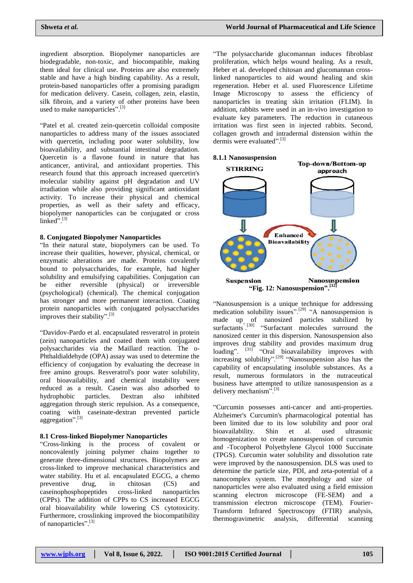ingredient absorption. Biopolymer nanoparticles are biodegradable, non-toxic, and biocompatible, making them ideal for clinical use. Proteins are also extremely stable and have a high binding capability. As a result, protein-based nanoparticles offer a promising paradigm for medication delivery. Casein, collagen, zein, elastin, silk fibroin, and a variety of other proteins have been used to make nanoparticles".<sup>[3]</sup>

"Patel et al. created zein-quercetin colloidal composite nanoparticles to address many of the issues associated with quercetin, including poor water solubility, low bioavailability, and substantial intestinal degradation. Quercetin is a flavone found in nature that has anticancer, antiviral, and antioxidant properties. This research found that this approach increased quercetin's molecular stability against pH degradation and UV irradiation while also providing significant antioxidant activity. To increase their physical and chemical properties, as well as their safety and efficacy, biopolymer nanoparticles can be conjugated or cross linked".<sup>[3]</sup>

#### **8. Conjugated Biopolymer Nanoparticles**

"In their natural state, biopolymers can be used. To increase their qualities, however, physical, chemical, or enzymatic alterations are made. Proteins covalently bound to polysaccharides, for example, had higher solubility and emulsifying capabilities. Conjugation can be either reversible (physical) or irreversible (psychological) (chemical). The chemical conjugation has stronger and more permanent interaction. Coating protein nanoparticles with conjugated polysaccharides improves their stability".<sup>[3]</sup>

"Davidov-Pardo et al. encapsulated resveratrol in protein (zein) nanoparticles and coated them with conjugated polysaccharides via the Maillard reaction. The o-Phthaldialdehyde (OPA) assay was used to determine the efficiency of conjugation by evaluating the decrease in free amino groups. Resveratrol's poor water solubility, oral bioavailability, and chemical instability were reduced as a result. Casein was also adsorbed to hydrophobic particles. Dextran also inhibited aggregation through steric repulsion. As a consequence, coating with caseinate-dextran prevented particle aggregation".<sup>[3]</sup>

# **8.1 Cross-linked Biopolymer Nanoparticles**

"Cross-linking is the process of covalent or noncovalently joining polymer chains together to generate three-dimensional structures. Biopolymers are cross-linked to improve mechanical characteristics and water stability. Hu et al. encapsulated EGCG, a chemo preventive drug, in chitosan (CS) and caseinophosphopeptides cross-linked nanoparticles (CPPs). The addition of CPPs to CS increased EGCG oral bioavailability while lowering CS cytotoxicity. Furthermore, crosslinking improved the biocompatibility of nanoparticles".<sup>[3]</sup>

"The polysaccharide glucomannan induces fibroblast proliferation, which helps wound healing. As a result, Heber et al. developed chitosan and glucomannan crosslinked nanoparticles to aid wound healing and skin regeneration. Heber et al. used Fluorescence Lifetime Image Microscopy to assess the efficiency of nanoparticles in treating skin irritation (FLIM). In addition, rabbits were used in an in-vivo investigation to evaluate key parameters. The reduction in cutaneous irritation was first seen in injected rabbits. Second, collagen growth and intradermal distension within the dermis were evaluated".<sup>[3]</sup>



"Nanosuspension is a unique technique for addressing medication solubility issues".<sup>[29]</sup> "A nanosuspension is made up of nanosized particles stabilized by surfactants<sup>" [30]</sup> "Surfactant molecules surround the nanosized center in this dispersion. Nanosuspension also improves drug stability and provides maximum drug loading". <sup>[31]</sup> "Oral bioavailability improves with increasing solubility".<sup>[29]</sup> "Nanosuspension also has the capability of encapsulating insoluble substances. As a result, numerous formulators in the nutraceutical business have attempted to utilize nanosuspension as a delivery mechanism".<sup>[3]</sup>

"Curcumin possesses anti-cancer and anti-properties. Alzheimer's Curcumin's pharmacological potential has been limited due to its low solubility and poor oral bioavailability. Shin et al. used ultrasonic homogenization to create nanosuspension of curcumin and -Tocopherol Polyethylene Glycol 1000 Succinate (TPGS). Curcumin water solubility and dissolution rate were improved by the nanosuspension. DLS was used to determine the particle size, PDI, and zeta-potential of a nanocomplex system. The morphology and size of nanoparticles were also evaluated using a field emission scanning electron microscope (FE-SEM) and a transmission electron microscope (TEM). Fourier-Transform Infrared Spectroscopy (FTIR) analysis, thermogravimetric analysis, differential scanning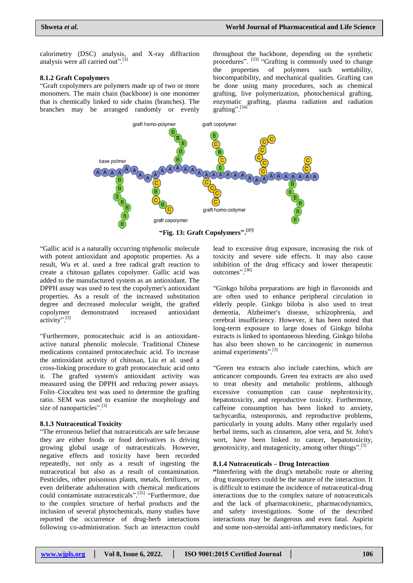calorimetry (DSC) analysis, and X-ray diffraction analysis were all carried out".<sup>[3]</sup>

#### **8.1.2 Graft Copolymers**

"Graft copolymers are polymers made up of two or more monomers. The main chain (backbone) is one monomer that is chemically linked to side chains (branches). The branches may be arranged randomly or evenly throughout the backbone, depending on the synthetic procedures". <sup>[33]</sup> "Grafting is commonly used to change the properties of polymers such wettability, biocompatibility, and mechanical qualities. Grafting can be done using many procedures, such as chemical grafting, live polymerization, photochemical grafting, enzymatic grafting, plasma radiation and radiation grafting".[34]



**"Fig. 13: Graft Copolymers". [37]**

"Gallic acid is a naturally occurring triphenolic molecule with potent antioxidant and apoptotic properties. As a result, Wu et al. used a free radical graft reaction to create a chitosan gallates copolymer. Gallic acid was added to the manufactured system as an antioxidant. The DPPH assay was used to test the copolymer's antioxidant properties. As a result of the increased substitution degree and decreased molecular weight, the grafted copolymer demonstrated increased antioxidant activity".<sup>[3]</sup>

"Furthermore, protocatechuic acid is an antioxidantactive natural phenolic molecule. Traditional Chinese medications contained protocatechuic acid. To increase the antioxidant activity of chitosan, Liu et al. used a cross-linking procedure to graft protocatechuic acid onto it. The grafted system's antioxidant activity was measured using the DPPH and reducing power assays. Folin–Ciocalteu test was used to determine the grafting ratio. SEM was used to examine the morphology and size of nanoparticles".<sup>[3]</sup>

### **8.1.3 Nutraceutical Toxicity**

"The erroneous belief that nutraceuticals are safe because they are either foods or food derivatives is driving growing global usage of nutraceuticals. However, negative effects and toxicity have been recorded repeatedly, not only as a result of ingesting the nutraceutical but also as a result of contamination. Pesticides, other poisonous plants, metals, fertilizers, or even deliberate adulteration with chemical medications could contaminate nutraceuticals".<sup>[35]</sup> "Furthermore, due to the complex structure of herbal products and the inclusion of several phytochemicals, many studies have reported the occurrence of drug-herb interactions following co-administration. Such an interaction could

lead to excessive drug exposure, increasing the risk of toxicity and severe side effects. It may also cause inhibition of the drug efficacy and lower therapeutic outcomes". [36]

"Ginkgo biloba preparations are high in flavonoids and are often used to enhance peripheral circulation in elderly people. Ginkgo biloba is also used to treat dementia, Alzheimer's disease, schizophrenia, and cerebral insufficiency. However, it has been noted that long-term exposure to large doses of Ginkgo biloba extracts is linked to spontaneous bleeding. Ginkgo biloba has also been shown to be carcinogenic in numerous animal experiments".<sup>[3]</sup>

"Green tea extracts also include catechins, which are anticancer compounds. Green tea extracts are also used to treat obesity and metabolic problems, although excessive consumption can cause nephrotoxicity, hepatotoxicity, and reproductive toxicity. Furthermore, caffeine consumption has been linked to anxiety, tachycardia, osteoporosis, and reproductive problems, particularly in young adults. Many other regularly used herbal items, such as cinnamon, aloe vera, and St. John's wort, have been linked to cancer, hepatotoxicity, genotoxicity, and mutagenicity, among other things".<sup>[3]</sup>

### **8.1.4 Nutraceuticals – Drug Interaction**

**"**Interfering with the drug's metabolic route or altering drug transporters could be the nature of the interaction. It is difficult to estimate the incidence of nutraceutical-drug interactions due to the complex nature of nutraceuticals and the lack of pharmacokinetic, pharmacodynamics, and safety investigations. Some of the described interactions may be dangerous and even fatal. Aspirin and some non-steroidal anti-inflammatory medicines, for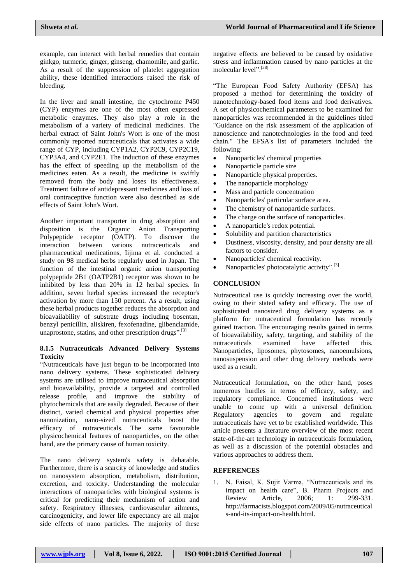example, can interact with herbal remedies that contain ginkgo, turmeric, ginger, ginseng, chamomile, and garlic. As a result of the suppression of platelet aggregation ability, these identified interactions raised the risk of bleeding.

In the liver and small intestine, the cytochrome P450 (CYP) enzymes are one of the most often expressed metabolic enzymes. They also play a role in the metabolism of a variety of medicinal medicines. The herbal extract of Saint John's Wort is one of the most commonly reported nutraceuticals that activates a wide range of CYP, including CYP1A2, CYP2C9, CYP2C19, CYP3A4, and CYP2E1. The induction of these enzymes has the effect of speeding up the metabolism of the medicines eaten. As a result, the medicine is swiftly removed from the body and loses its effectiveness. Treatment failure of antidepressant medicines and loss of oral contraceptive function were also described as side effects of Saint John's Wort.

Another important transporter in drug absorption and disposition is the Organic Anion Transporting Polypeptide receptor (OATP). To discover the interaction between various nutraceuticals and pharmaceutical medications, Iijima et al. conducted a study on 98 medical herbs regularly used in Japan. The function of the intestinal organic anion transporting polypeptide 2B1 (OATP2B1) receptor was shown to be inhibited by less than 20% in 12 herbal species. In addition, seven herbal species increased the receptor's activation by more than 150 percent. As a result, using these herbal products together reduces the absorption and bioavailability of substrate drugs including bosentan, benzyl penicillin, aliskiren, fexofenadine, glibenclamide, unaprostone, statins, and other prescription drugs".<sup>[3]</sup>

### **8.1.5 Nutraceuticals Advanced Delivery Systems Toxicity**

"Nutraceuticals have just begun to be incorporated into nano delivery systems. These sophisticated delivery systems are utilised to improve nutraceutical absorption and bioavailability, provide a targeted and controlled release profile, and improve the stability of phytochemicals that are easily degraded. Because of their distinct, varied chemical and physical properties after nanonization, nano-sized nutraceuticals boost the efficacy of nutraceuticals. The same favourable physicochemical features of nanoparticles, on the other hand, are the primary cause of human toxicity.

The nano delivery system's safety is debatable. Furthermore, there is a scarcity of knowledge and studies on nanosystem absorption, metabolism, distribution, excretion, and toxicity. Understanding the molecular interactions of nanoparticles with biological systems is critical for predicting their mechanism of action and safety. Respiratory illnesses, cardiovascular ailments, carcinogenicity, and lower life expectancy are all major side effects of nano particles. The majority of these

negative effects are believed to be caused by oxidative stress and inflammation caused by nano particles at the molecular level". [38]

"The European Food Safety Authority (EFSA) has proposed a method for determining the toxicity of nanotechnology-based food items and food derivatives. A set of physicochemical parameters to be examined for nanoparticles was recommended in the guidelines titled "Guidance on the risk assessment of the application of nanoscience and nanotechnologies in the food and feed chain." The EFSA's list of parameters included the following:

- Nanoparticles' chemical properties
- Nanoparticle particle size
- Nanoparticle physical properties.
- The nanoparticle morphology
- Mass and particle concentration
- Nanoparticles' particular surface area.
- The chemistry of nanoparticle surfaces.
- The charge on the surface of nanoparticles.
- A nanoparticle's redox potential.
- Solubility and partition characteristics
- Dustiness, viscosity, density, and pour density are all factors to consider.
- Nanoparticles' chemical reactivity.
- Nanoparticles' photocatalytic activity".<sup>[3]</sup>

# **CONCLUSION**

Nutraceutical use is quickly increasing over the world, owing to their stated safety and efficacy. The use of sophisticated nanosized drug delivery systems as a platform for nutraceutical formulation has recently gained traction. The encouraging results gained in terms of bioavailability, safety, targeting, and stability of the nutraceuticals examined have affected this. Nanoparticles, liposomes, phytosomes, nanoemulsions, nanosuspension and other drug delivery methods were used as a result.

Nutraceutical formulation, on the other hand, poses numerous hurdles in terms of efficacy, safety, and regulatory compliance. Concerned institutions were unable to come up with a universal definition. Regulatory agencies to govern and regulate nutraceuticals have yet to be established worldwide. This article presents a literature overview of the most recent state-of-the-art technology in nutraceuticals formulation, as well as a discussion of the potential obstacles and various approaches to address them.

# **REFERENCES**

1. N. Faisal, K. Sujit Varma, "Nutraceuticals and its impact on health care", B. Pharm Projects and Review Article, 2006; 1: 299-331. [http://farmacists.blogspot.com/2009/05/nutraceutical](http://farmacists.blogspot.com/2009/05/nutraceuticals-and-its-impact-on-health.html) [s-and-its-impact-on-health.html.](http://farmacists.blogspot.com/2009/05/nutraceuticals-and-its-impact-on-health.html)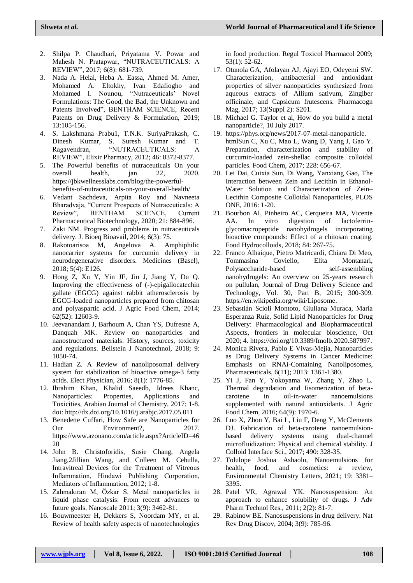- 2. Shilpa P. Chaudhari, Priyatama V. Powar and Mahesh N. Pratapwar, "NUTRACEUTICALS: A REVIEW", 2017; 6(8): 681-739.
- 3. Nada A. Helal, Heba A. Eassa, Ahmed M. Amer, Mohamed A. Eltokhy, Ivan Edafiogho and Mohamed I. Nounou, "Nutraceuticals' Novel Formulations: The Good, the Bad, the Unknown and Patents Involved", BENTHAM SCIENCE, Recent Patents on Drug Delivery & Formulation, 2019; 13:105-156.
- 4. S. Lakshmana Prabu1, T.N.K. SuriyaPrakash, C. Dinesh Kumar, S. Suresh Kumar and T. Ragavendran, "NUTRACEUTICALS: A REVIEW", Elixir Pharmacy, 2012; 46: 8372-8377.
- 5. The Powerful benefits of nutraceuticals On your overall health, jan 22, 2020. [https://jbkwellnesslabs.com/blog/the-powerful](https://jbkwellnesslabs.com/blog/the-powerful-benefits-of-nutraceuticals-on-your-overall-health/)[benefits-of-nutraceuticals-on-your-overall-health/](https://jbkwellnesslabs.com/blog/the-powerful-benefits-of-nutraceuticals-on-your-overall-health/)
- 6. Vedant Sachdeva, Arpita Roy and Navneeta Bharadvaja, "Current Prospects of Nutraceuticals: A Review", BENTHAM SCIENCE, Current Pharmaceutical Biotechnology, 2020; 21: 884-896.
- 7. Zaki NM. Progress and problems in nutraceuticals delivery. J. Bioeq Bioavail, 2014; 6(3): 75.
- 8. Rakotoarisoa M, Angelova A. Amphiphilic nanocarrier systems for curcumin delivery in neurodegenerative disorders. Medicines (Basel), 2018; 5(4): E126.
- 9. Hong Z, Xu Y, Yin JF, Jin J, Jiang Y, Du Q. Improving the effectiveness of (-)-epigallocatechin gallate (EGCG) against rabbit atherosclerosis by EGCG-loaded nanoparticles prepared from chitosan and polyaspartic acid. J Agric Food Chem, 2014; 62(52): 12603-9.
- 10. Jeevanandam J, Barhoum A, Chan YS, Dufresne A, Danquah MK. Review on nanoparticles and nanostructured materials: History, sources, toxicity and regulations. Beilstein J Nanotechnol, 2018; 9: 1050-74.
- 11. Hadian Z. A Review of nanoliposomal delivery system for stabilization of bioactive omega-3 fatty acids. Elect Physician, 2016; 8(1): 1776-85.
- 12. Ibrahim Khan, Khalid Saeedb, Idrees Khanc, Nanoparticles: Properties, Applications and Toxicities, Arabian Journal of Chemistry, 2017; 1-8. doi[: http://dx.doi.org/10.1016/j.arabjc.2017.05.011](http://dx.doi.org/10.1016/j.arabjc.2017.05.011)
- 13. Benedette Cuffari, How Safe are Nanoparticles for Our Environment?, 2017. [https://www.azonano.com/article.aspx?ArticleID=46](https://www.azonano.com/article.aspx?ArticleID=4620) [20](https://www.azonano.com/article.aspx?ArticleID=4620)
- 14. John B. Christoforidis, Susie Chang, Angela Jiang,2Jillian Wang, and Colleen M. Cebulla, Intravitreal Devices for the Treatment of Vitreous Inflammation, Hindawi Publishing Corporation, Mediators of Inflammation, 2012; 1-8.
- 15. Zahmakıran M, Özkar S. Metal nanoparticles in liquid phase catalysis: From recent advances to future goals. Nanoscale 2011; 3(9): 3462-81.
- 16. Bouwmeester H, Dekkers S, Noordam MY, et al. Review of health safety aspects of nanotechnologies

in food production. Regul Toxicol Pharmacol 2009; 53(1): 52-62.

- 17. Otunola GA, Afolayan AJ, Ajayi EO, Odeyemi SW. Characterization, antibacterial and antioxidant properties of silver nanoparticles synthesized from aqueous extracts of Allium sativum, Zingiber officinale, and Capsicum frutescens. Pharmacogn Mag, 2017; 13(Suppl 2): S201.
- 18. Michael G. Taylor et al, How do you build a metal nanoparticle?, 10 July 2017.
- 19. [https://phys.org/news/2017-07-metal-nanoparticle.](https://phys.org/news/2017-07-metal-nanoparticle.html) [htmlS](https://phys.org/news/2017-07-metal-nanoparticle.html)un C, Xu C, Mao L, Wang D, Yang J, Gao Y. Preparation, characterization and stability of curcumin-loaded zein-shellac composite colloidal particles. Food Chem, 2017; 228: 656-67.
- 20. Lei Dai, Cuixia Sun, Di Wang, Yanxiang Gao, The Interaction between Zein and Lecithin in Ethanol-Water Solution and Characterization of Zein– Lecithin Composite Colloidal Nanoparticles, PLOS ONE, 2016: 1-20.
- 21. Bourbon AI, Pinheiro AC, Cerqueira MA, Vicente AA. In vitro digestion of lactoferringlycomacropeptide nanohydrogels incorporating bioactive compounds: Effect of a chitosan coating. Food Hydrocolloids, 2018; 84: 267-75.
- 22. Franco Alhaique, Pietro Matricardi, Chiara Di Meo, Tommasina Coviello, Elita Montanari, Polysaccharide-based self-assembling nanohydrogels: An overview on 25-years research on pullulan, Journal of Drug Delivery Science and Technology, Vol. 30, Part B, 2015; 300-309. [https://en.wikipedia.org/wiki/Liposome.](https://en.wikipedia.org/wiki/Liposome)
- 23. Sebastián Scioli Montoto, Giuliana Muraca, María Esperanza Ruiz, Solid Lipid Nanoparticles for Drug Delivery: Pharmacological and Biopharmaceutical Aspects, frontiers in molecular bioscience, Oct 2020; 4. [https://doi.org/10.3389/fmolb.2020.587997.](https://doi.org/10.3389/fmolb.2020.587997)
- 24. Monica Rivera, Pablo E Vivas-Mejia, Nanoparticles as Drug Delivery Systems in Cancer Medicine: Emphasis on RNAi-Containing Nanoliposomes, Pharmaceuticals, 6(11); 2013: 1361-1380.
- 25. Yi J, Fan Y, Yokoyama W, Zhang Y, Zhao L. Thermal degradation and Iisomerization of betacarotene in oil-in-water nanoemulsions supplemented with natural antioxidants. J Agric Food Chem, 2016; 64(9): 1970-6.
- 26. Luo X, Zhou Y, Bai L, Liu F, Deng Y, McClements DJ. Fabrication of beta-carotene nanoemulsionbased delivery systems using dual-channel microfluidization: Physical and chemical stability. J Colloid Interface Sci., 2017; 490: 328-35.
- 27. Tolulope Joshua Ashaolu, Nanoemulsions for health, food, and cosmetics: a review, Environmental Chemistry Letters, 2021; 19: 3381– 3395.
- 28. Patel VR, Agrawal YK. Nanosuspension: An approach to enhance solubility of drugs. J Adv Pharm Technol Res., 2011; 2(2): 81-7.
- 29. Rabinow BE. Nanosuspensions in drug delivery. Nat Rev Drug Discov, 2004; 3(9): 785-96.